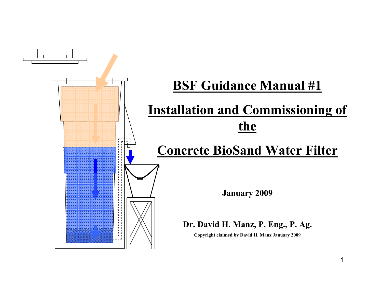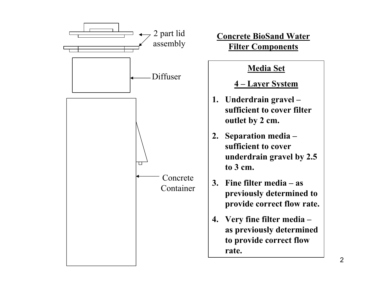

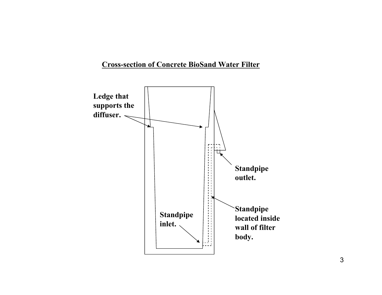#### **Cross-section of Concrete BioSand Water Filter**

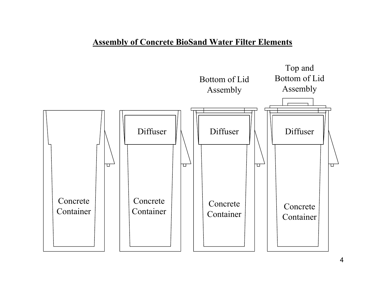#### **Assembly of Concrete BioSand Water Filter Elements**

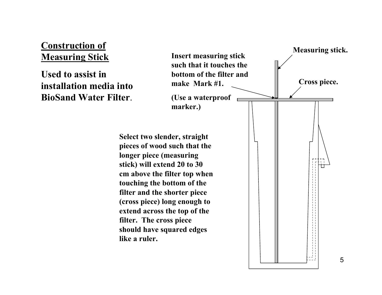## **Construction of Measuring Stick**

**Used to assist in installation media into BioSand Water Filter**.

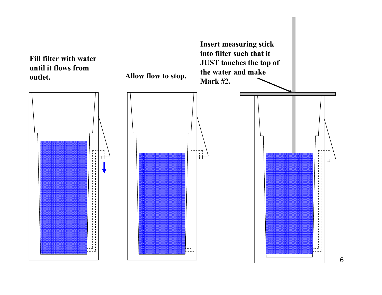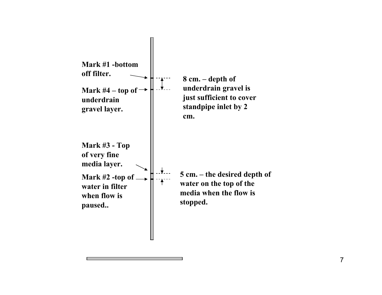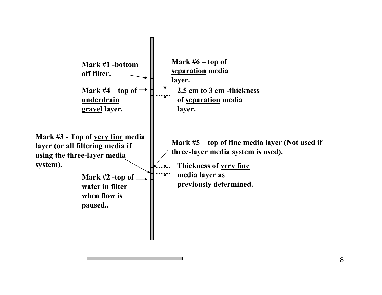

<sup>8</sup>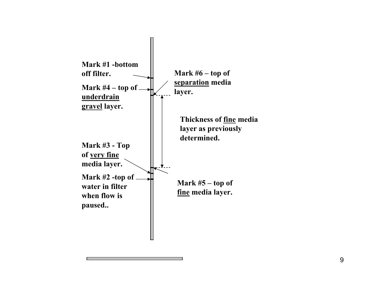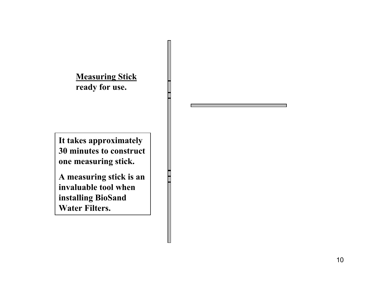**Measuring Stick ready for use.**

**It takes approximately 30 minutes to construct one measuring stick.** 

**A measuring stick is an invaluable tool when installing BioSand Water Filters.**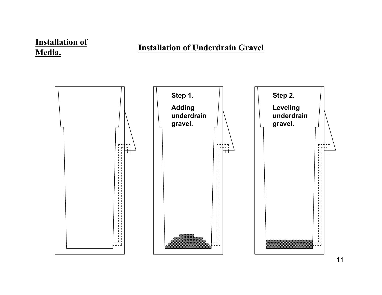## **Installation of Media.**

## **Installation of Underdrain Gravel**

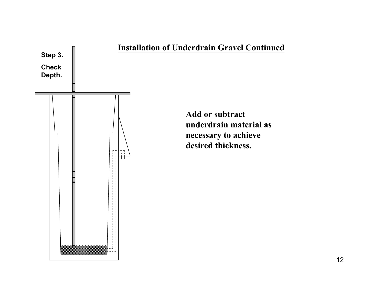

#### **Installation of Underdrain Gravel Continued**

**Add or subtract underdrain material as necessary to achieve desired thickness.**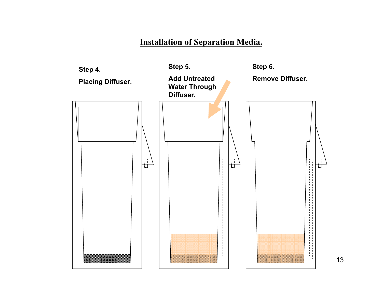#### **Installation of Separation Media.**

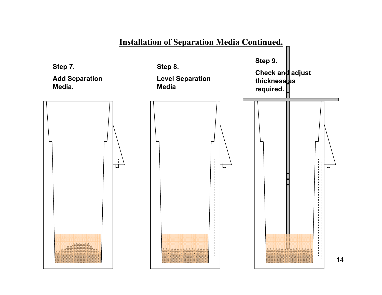## **Installation of Separation Media Continued.**

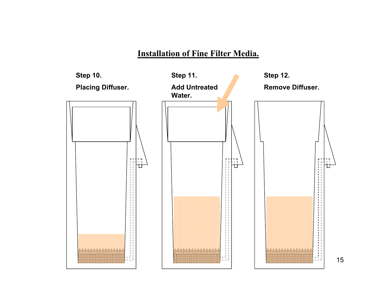## **Installation of Fine Filter Media.**



15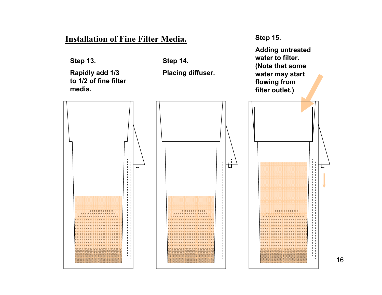#### **Installation of Fine Filter Media.**

**Step 13.**

**Rapidly add 1/3 to 1/2 of fine filter media.**

**Step 14.**

**Placing diffuser.**

**Step 15.**

**Adding untreated water to filter. (Note that some water may start flowing from filter outlet.)**

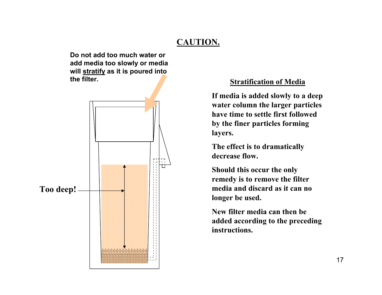## **CAUTION.**

**Do not add too much water or add media too slowly or media will stratify as it is poured into the filter.**



#### **Stratification of Media**

**If media is added slowly to a deep water column the larger particles have time to settle first followed by the finer particles forming layers.** 

**The effect is to dramatically decrease flow.**

**Should this occur the only remedy is to remove the filter media and discard as it can no longer be used.** 

**New filter media can then be added according to the preceding instructions.**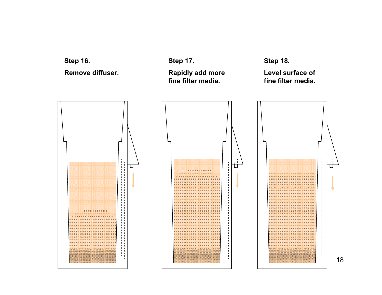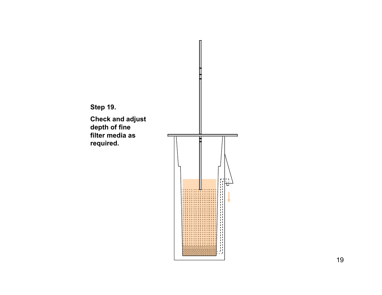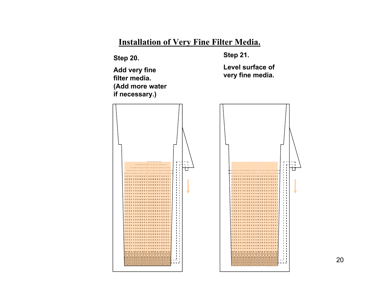## **Installation of Very Fine Filter Media.**

**Step 20.**

**Add very fine filter media. (Add more water if necessary.)**

**Step 21.**

**Level surface of very fine media.** 



20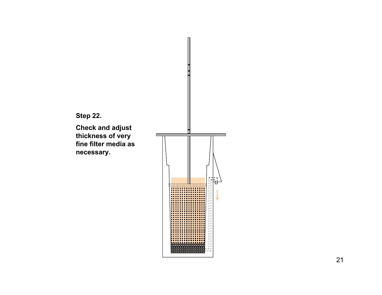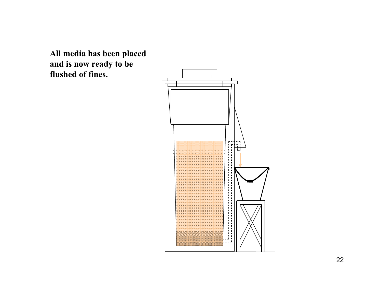**All media has been placed and is now ready to be flushed of fines.**

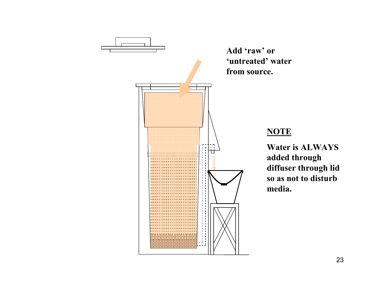

#### **NOTE**

**Water is ALWAYS added through diffuser through lid so as not to disturb media.**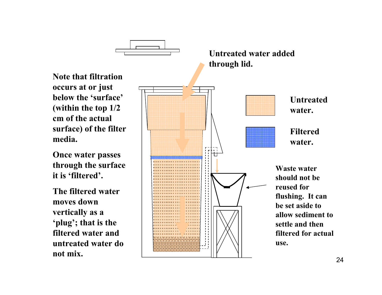

**Once water passes through the surface it is 'filtered'.**

**The filtered water moves down vertically as a 'plug'; that is the filtered water and untreated water do not mix.**

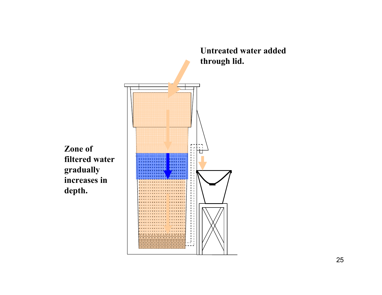

**Zone of filtered water gradually increases in depth.**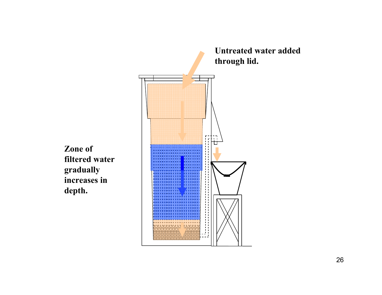

**Zone of filtered water gradually increases in depth.**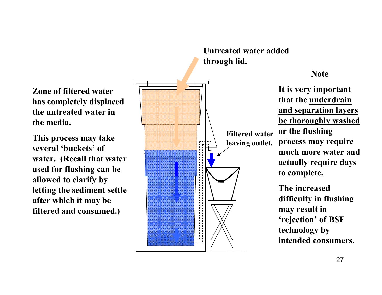**Zone of filtered water has completely displaced the untreated water in the media.**

**This process may take several 'buckets' of water. (Recall that water used for flushing can be allowed to clarify by letting the sediment settle after which it may be filtered and consumed.)**



# **Untreated water added**

## **Note**

**It is very important that the underdrain and separation layers be thoroughly washed or the flushing process may require much more water and actually require days to complete.** 

**The increased difficulty in flushing may result in 'rejection' of BSF technology by intended consumers.**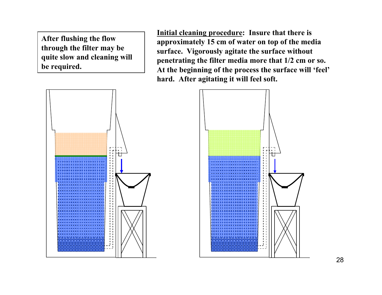**After flushing the flow through the filter may be quite slow and cleaning will be required.**

**Initial cleaning procedure: Insure that there is approximately 15 cm of water on top of the media surface. Vigorously agitate the surface without penetrating the filter media more that 1/2 cm or so. At the beginning of the process the surface will 'feel' hard. After agitating it will feel soft.**



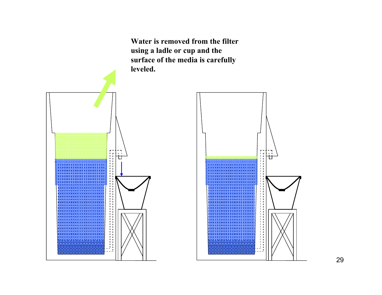**Water is removed from the filter using a ladle or cup and the surface of the media is carefully leveled.**



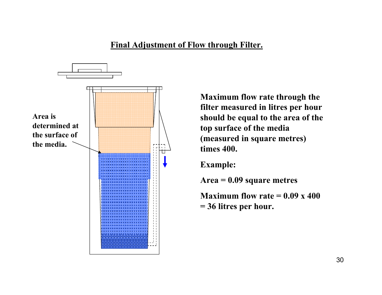## **Final Adjustment of Flow through Filter.**



**Maximum flow rate through the filter measured in litres per hour should be equal to the area of the top surface of the media (measured in square metres) times 400.**

**Example:**

**Area = 0.09 square metres**

**Maximum flow rate = 0.09 x 400 = 36 litres per hour.**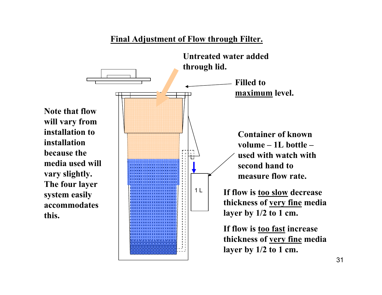## **Final Adjustment of Flow through Filter.**



**Note that flow will vary from installation to installation because the media used will vary slightly. The four layer system easily accommodates this.**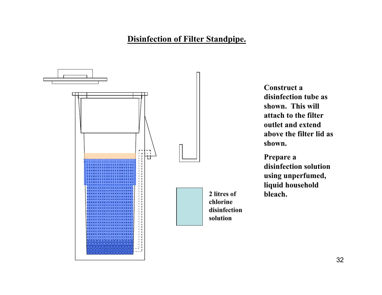

**Construct a disinfection tube as shown. This will attach to the filter outlet and extend above the filter lid as shown.**

**Prepare a disinfection solution using unperfumed, liquid household bleach.**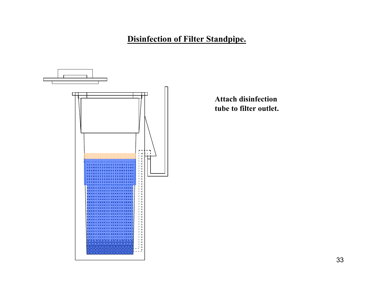

**Attach disinfection tube to filter outlet.**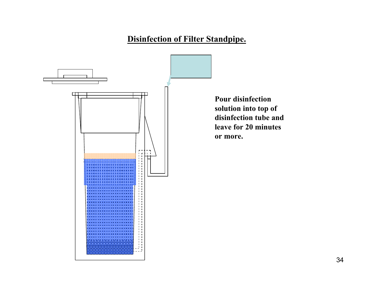

**Pour disinfection solution into top of disinfection tube and leave for 20 minutes**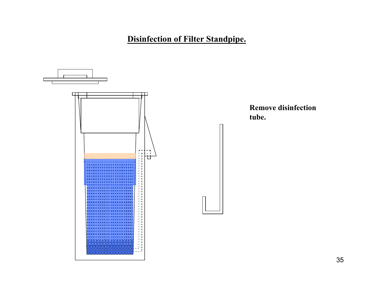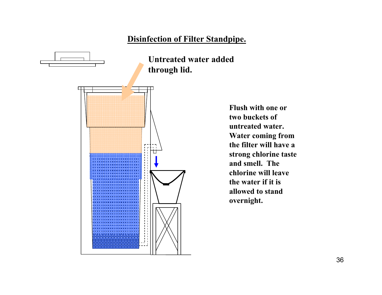

**Flush with one or two buckets of untreated water. Water coming from the filter will have a strong chlorine taste and smell. The chlorine will leave the water if it is allowed to stand overnight.**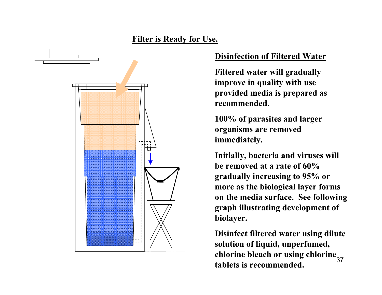## **Filter is Ready for Use.**



#### **Disinfection of Filtered Water**

**Filtered water will gradually improve in quality with use provided media is prepared as recommended.** 

**100% of parasites and larger organisms are removed immediately.** 

**Initially, bacteria and viruses will be removed at a rate of 60% gradually increasing to 95% or more as the biological layer forms on the media surface. See following graph illustrating development of biolayer.**

37**chlorine bleach or using chlorine Disinfect filtered water using dilute solution of liquid, unperfumed, tablets is recommended.**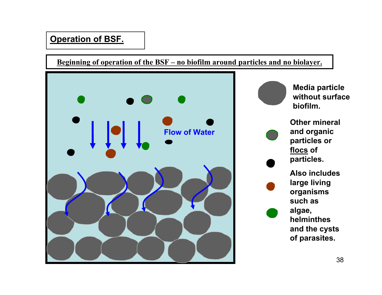**Beginning of operation of the BSF – no biofilm around particles and no biolayer.**



**Media particle without surface biofilm.**

**Other mineral and organic particles or flocs of particles.** 

**Also includes large living organisms such as algae, helminthes and the cysts of parasites.**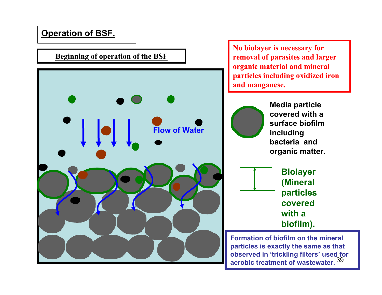## **Beginning of operation of the BSF**



**No biolayer is necessary for removal of parasites and larger organic material and mineral particles including oxidized iron and manganese.**



**Media particle covered with a surface biofilm including bacteria and organic matter.**



39 **aerobic treatment of wastewater.Formation of biofilm on the mineral particles is exactly the same as that observed in 'trickling filters' used for**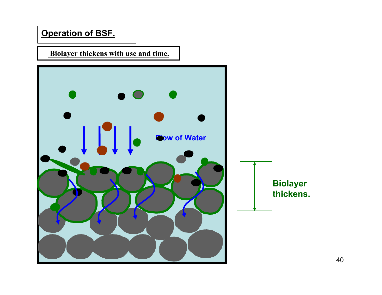**Biolayer thickens with use and time.**

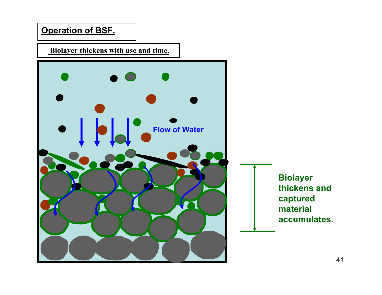

**Biolayer thickens with use and time.**

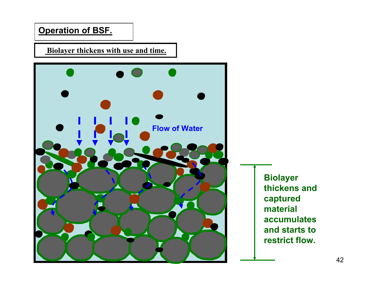**Biolayer thickens with use and time.**



**Biolayer thickens and captured material accumulates and starts to restrict flow.**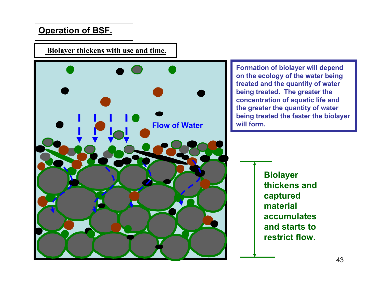#### **Biolayer thickens with use and time.**



**Formation of biolayer will depend on the ecology of the water being treated and the quantity of water being treated. The greater the concentration of aquatic life and the greater the quantity of water being treated the faster the biolayer will form.**

> **Biolayer thickens and captured material accumulates and starts to restrict flow.**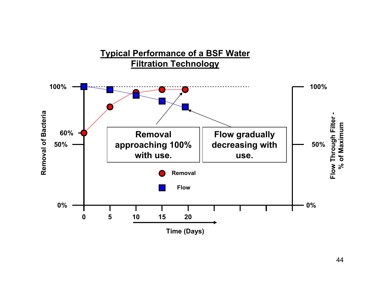## **Typical Performance of a BSF Water Filtration Technology**

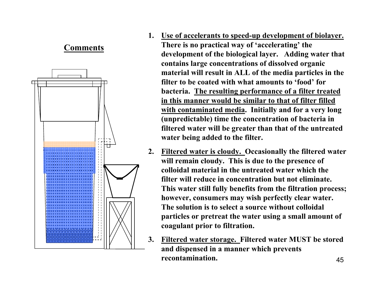## **Comments**



- **1. Use of accelerants to speed-up development of biolayer. There is no practical way of 'accelerating' the development of the biological layer. Adding water that contains large concentrations of dissolved organic material will result in ALL of the media particles in the filter to be coated with what amounts to 'food' for bacteria. The resulting performance of a filter treated in this manner would be similar to that of filter filled with contaminated media. Initially and for a very long (unpredictable) time the concentration of bacteria in filtered water will be greater than that of the untreated water being added to the filter.**
- **2. Filtered water is cloudy. Occasionally the filtered water will remain cloudy. This is due to the presence of colloidal material in the untreated water which the filter will reduce in concentration but not eliminate. This water still fully benefits from the filtration process; however, consumers may wish perfectly clear water. The solution is to select a source without colloidal particles or pretreat the water using a small amount of coagulant prior to filtration.**
- 45**3. Filtered water storage. Filtered water MUST be stored and dispensed in a manner which prevents recontamination.**